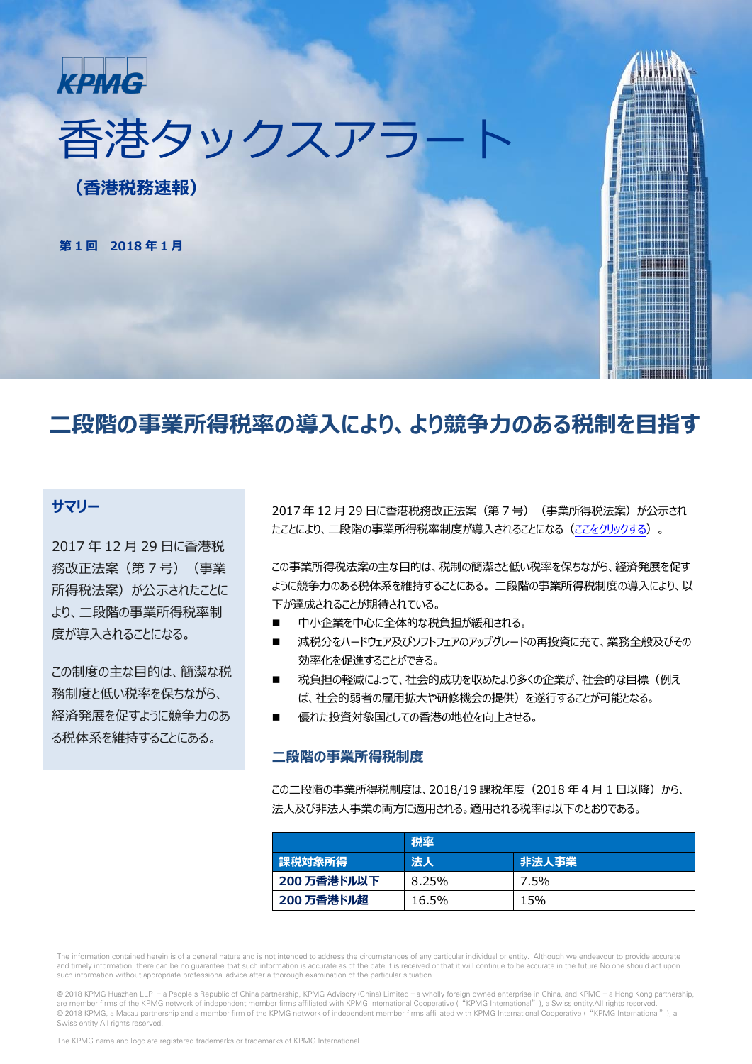

# **二段階の事業所得税率の導入により、より競争力のある税制を目指す**

## **サマリー**

2017 年 12 月 29 日に香港税 務改正法案(第 7 号)(事業 所得税法案)が公示されたことに より、二段階の事業所得税率制 度が導入されることになる。

この制度の主な目的は、簡潔な税 務制度と低い税率を保ちながら、 経済発展を促すように競争力のあ る税体系を維持することにある。

2017 年 12 月 29 日に香港税務改正法案(第 7 号)(事業所得税法案)が公示され たことにより、二段階の事業所得税率制度が導入されることになる[\(ここをクリックする\)](https://www.legco.gov.hk/yr17-18/english/bills/b201712292.pdf)。

<u>, Anggori i Ingg</u>

この事業所得税法案の主な目的は、税制の簡潔さと低い税率を保ちながら、経済発展を促す ように競争力のある税体系を維持することにある。 二段階の事業所得税制度の導入により、以 下が達成されることが期待されている。

- 中小企業を中心に全体的な税負担が緩和される。
- 減税分をハードウェア及びソフトフェアのアップグレードの再投資に充て、業務全般及びその 効率化を促進することができる。
- 税負担の軽減によって、社会的成功を収めたより多くの企業が、社会的な目標(例え ば、社会的弱者の雇用拡大や研修機会の提供)を遂行することが可能となる。
- 優れた投資対象国としての香港の地位を向上させる。

#### **二段階の事業所得税制度**

この二段階の事業所得税制度は、2018/19 課税年度(2018 年 4 月 1 日以降)から、 法人及び非法人事業の両方に適用される。適用される税率は以下のとおりである。

|             | 税率    |       |
|-------------|-------|-------|
| 課税対象所得      | 法人    | 非法人事業 |
| 200 万香港ドル以下 | 8.25% | 7.5%  |
| 200 万香港ドル超  | 16.5% | 15%   |

The information contained herein is of a general nature and is not intended to address the circumstances of any particular individual or entity. Although we endeavour to provide accurate<br>and timely information, there can such information without appropriate professional advice after a thorough examination of the particular situation.

© 2018 KPMG Huazhen LLP — a People's Republic of China partnership, KPMG Advisory (China) Limited — a wholly foreign owned enterprise in China, and KPMG — a Hong Kong partnership, are member firms of the KPMG network of independent member firms affiliated with KPMG International Cooperative ("KPMG International"), a Swiss entity.All rights reserved. © 2018 KPMG, a Macau partnership and a member firm of the KPMG network of independent member firms affiliated with KPMG International Cooperative ("KPMG International"), a Swiss entity.All rights reserved.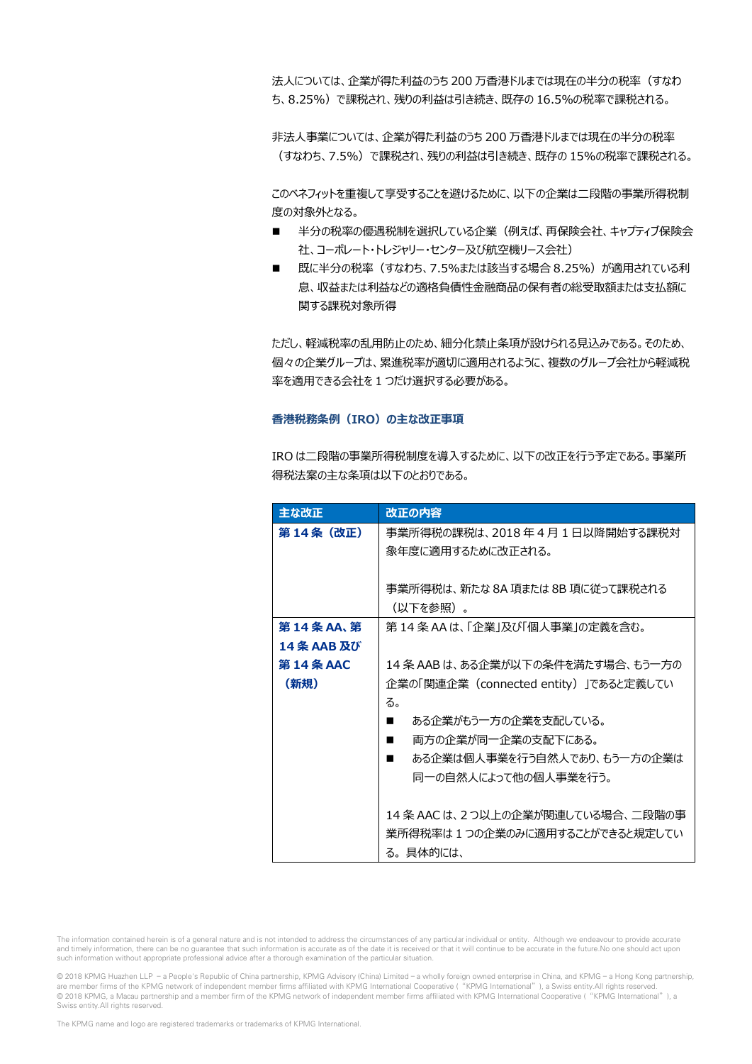法人については、企業が得た利益のうち 200 万香港ドルまでは現在の半分の税率(すなわ ち、8.25%)で課税され、残りの利益は引き続き、既存の 16.5%の税率で課税される。

非法人事業については、企業が得た利益のうち 200 万香港ドルまでは現在の半分の税率 (すなわち、7.5%)で課税され、残りの利益は引き続き、既存の 15%の税率で課税される。

このベネフィットを重複して享受することを避けるために、以下の企業は二段階の事業所得税制 度の対象外となる。

- 半分の税率の優遇税制を選択している企業 (例えば、再保険会社、キャプティブ保険会 社、コーポレート・トレジャリー・センター及び航空機リース会社)
- 既に半分の税率 (すなわち、7.5%または該当する場合 8.25%) が適用されている利 息、収益または利益などの適格負債性金融商品の保有者の総受取額または支払額に 関する課税対象所得

ただし、軽減税率の乱用防止のため、細分化禁止条項が設けられる見込みである。そのため、 個々の企業グループは、累進税率が適切に適用されるように、複数のグループ会社から軽減税 率を適用できる会社を 1 つだけ選択する必要がある。

#### **香港税務条例(IRO)の主な改正事項**

IRO は二段階の事業所得税制度を導入するために、以下の改正を行う予定である。事業所 得税法案の主な条項は以下のとおりである。

| 主な改正         | 改正の内容                                |  |
|--------------|--------------------------------------|--|
| 第 14 条(改正)   | 事業所得税の課税は、2018 年 4 月 1 日以降開始する課税対    |  |
|              | 象年度に適用するために改正される。                    |  |
|              |                                      |  |
|              | 事業所得税は、新たな 8A 項または 8B 項に従って課税される     |  |
|              | (以下を参照) 。                            |  |
| 第 14 条 AA、 第 | 第 14 条 AA は、「企業  及び「個人事業  の定義を含む。    |  |
| 14 条 AAB 及び  |                                      |  |
| 第14条 AAC     | 14 条 AAB は、ある企業が以下の条件を満たす場合、もう一方の    |  |
| (新規)         | 企業の「関連企業(connected entity)」であると定義してい |  |
|              | る。                                   |  |
|              | ある企業がもう一方の企業を支配している。                 |  |
|              | 両方の企業が同一企業の支配下にある。<br>٠              |  |
|              | ある企業は個人事業を行う自然人であり、もう一方の企業は<br>■     |  |
|              | 同一の自然人によって他の個人事業を行う。                 |  |
|              |                                      |  |
|              | 14 条 AAC は、2 つ以上の企業が関連している場合、二段階の事   |  |
|              | 業所得税率は1つの企業のみに適用することができると規定してい       |  |
|              | る。具体的には、                             |  |

The information contained herein is of a general nature and is not intended to address the circumstances of any particular individual or entity. Although we endeavour to provide accurate and timely information, there can be no quarantee that such information is accurate as of the date it is received or that it will continue to be accurate in the future.No one should act upon such information without appropriate professional advice after a thorough examination of the particular situation.

<sup>© 2018</sup> KPMG Huazhen LLP — a People's Republic of China partnership, KPMG Advisory (China) Limited — a wholly foreign owned enterprise in China, and KPMG — a Hong Kong partnership, are member firms of the KPMG network of independent member firms affiliated with KPMG International Cooperative ("KPMG International"), a Swiss entity.All rights reserved. © 2018 KPMG, a Macau partnership and a member firm of the KPMG network of independent member firms affiliated with KPMG International Cooperative ("KPMG International"), a Swiss entity.All rights reserved.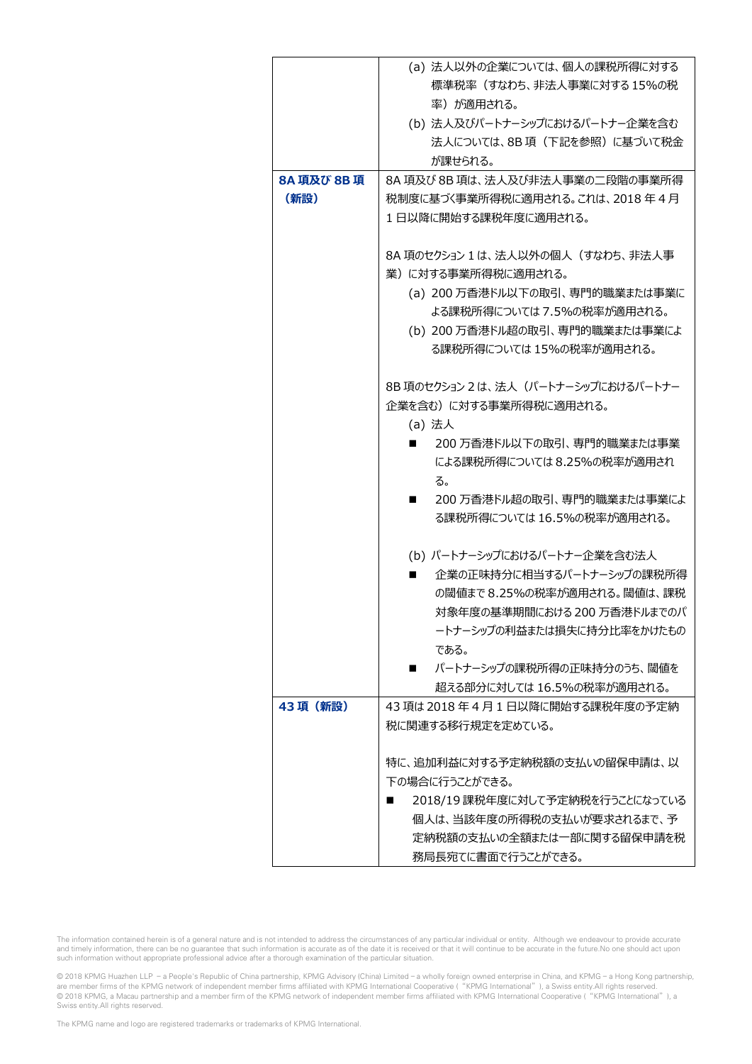|             | (a) 法人以外の企業については、個人の課税所得に対する                |  |
|-------------|---------------------------------------------|--|
|             | 標準税率 (すなわち、非法人事業に対する 15%の税                  |  |
|             | 率)が適用される。                                   |  |
|             | (b) 法人及びパートナーシップにおけるパートナー企業を含む              |  |
|             | 法人については、8B 項(下記を参照)に基づいて税金                  |  |
|             | が課せられる。                                     |  |
| 8A 項及び 8B 項 | 8A 項及び 8B 項は、法人及び非法人事業の二段階の事業所得             |  |
| (新設)        | 税制度に基づく事業所得税に適用される。これは、2018 年 4 月           |  |
|             | 1 日以降に開始する課税年度に適用される。                       |  |
|             |                                             |  |
|             | 8A 項のセクション 1 は、法人以外の個人(すなわち、非法人事            |  |
|             | 業)に対する事業所得税に適用される。                          |  |
|             | (a) 200 万香港ドル以下の取引、専門的職業または事業に              |  |
|             | よる課税所得については 7.5%の税率が適用される。                  |  |
|             | (b) 200 万香港ドル超の取引、専門的職業または事業によ              |  |
|             | る課税所得については 15%の税率が適用される。                    |  |
|             |                                             |  |
|             | 8B 項のセクション 2 は、法人 (パートナーシップにおけるパートナー        |  |
|             | 企業を含む)に対する事業所得税に適用される。                      |  |
|             | (a) 法人                                      |  |
|             | 200 万香港ドル以下の取引、専門的職業または事業<br>$\blacksquare$ |  |
|             | による課税所得については 8.25%の税率が適用され                  |  |
|             | る。                                          |  |
|             | 200 万香港ドル超の取引、専門的職業または事業によ                  |  |
|             | る課税所得については 16.5%の税率が適用される。                  |  |
|             |                                             |  |
|             | (b) パートナーシップにおけるパートナー企業を含む法人                |  |
|             | 企業の正味持分に相当するパートナーシップの課税所得                   |  |
|             | の閾値まで 8.25%の税率が適用される。閾値は、課税                 |  |
|             | 対象年度の基準期間における 200 万香港ドルまでのパ                 |  |
|             | ートナーシップの利益または損失に持分比率をかけたもの                  |  |
|             | である。                                        |  |
|             | パートナーシップの課税所得の正味持分のうち、閾値を                   |  |
|             | 超える部分に対しては 16.5%の税率が適用される。                  |  |
| 43 項 (新設)   | 43 項は 2018 年 4 月 1 日以降に開始する課税年度の予定納         |  |
|             | 税に関連する移行規定を定めている。                           |  |
|             |                                             |  |
|             | 特に、追加利益に対する予定納税額の支払いの留保申請は、以                |  |
|             | 下の場合に行うことができる。                              |  |
|             | 2018/19 課税年度に対して予定納税を行うことになっている<br>■        |  |
|             | 個人は、当該年度の所得税の支払いが要求されるまで、予                  |  |
|             | 定納税額の支払いの全額または一部に関する留保申請を税                  |  |
|             | 務局長宛てに書面で行うことができる。                          |  |
|             |                                             |  |

The information contained herein is of a general nature and is not intended to address the circumstances of any particular individual or entity. Although we endeavour to provide accurate<br>and timely information, there can b

© 2018 KPMG Huazhen LLP – a People's Republic of China partnership, KPMG Advisory (China) Limited – a wholly foreign owned enterprise in China, and KPMG – a Hong Kong partnership,<br>are member firms of the KPMG network of in Swiss entity.All rights reserved.

The KPMG name and logo are registered trademarks or trademarks of KPMG International.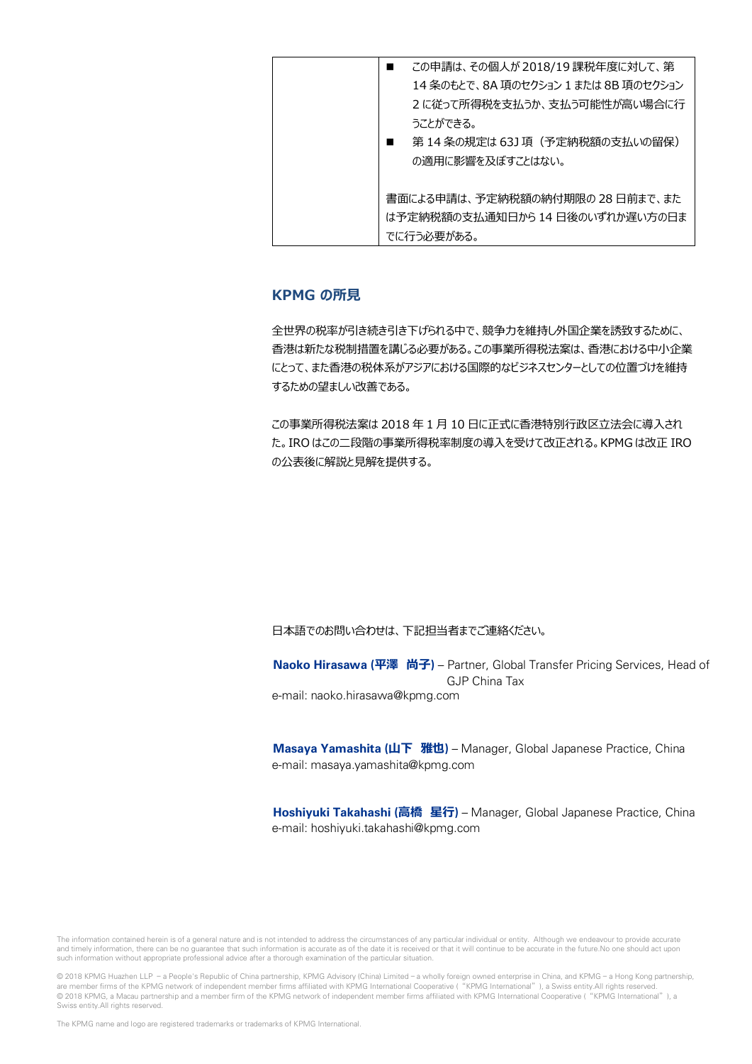| この申請は、その個人が2018/19課税年度に対して、第         |  |
|--------------------------------------|--|
| 14 条のもとで、8A 項のセクション 1 または 8B 項のセクション |  |
| 2に従って所得税を支払うか、支払う可能性が高い場合に行          |  |
| うことができる。                             |  |
| 第 14 条の規定は 63J 項(予定納税額の支払いの留保)       |  |
| の適用に影響を及ぼすことはない。                     |  |
|                                      |  |
| 書面による申請は、予定納税額の納付期限の 28 日前まで、また      |  |
| は予定納税額の支払通知日から 14 日後のいずれか遅い方の日ま      |  |
| でに行う必要がある。                           |  |
|                                      |  |

#### **KPMG の所見**

全世界の税率が引き続き引き下げられる中で、競争力を維持し外国企業を誘致するために、 香港は新たな税制措置を講じる必要がある。この事業所得税法案は、香港における中小企業 にとって、また香港の税体系がアジアにおける国際的なビジネスセンターとしての位置づけを維持 するための望ましい改善である。

この事業所得税法案は 2018 年 1 月 10 日に正式に香港特別行政区立法会に導入され た。IRO はこの二段階の事業所得税率制度の導入を受けて改正される。KPMG は改正 IRO の公表後に解説と見解を提供する。

#### 日本語でのお問い合わせは、下記担当者までご連絡ください。

**Naoko Hirasawa (平澤 尚子)** – Partner, Global Transfer Pricing Services, Head of GJP China Tax e-mail: naoko.hirasawa@kpmg.com

**Masaya Yamashita (山下 雅也)** – Manager, Global Japanese Practice, China e-mail: masaya.yamashita@kpmg.com

**Hoshiyuki Takahashi (高橋 星行)** – Manager, Global Japanese Practice, China e-mail: hoshiyuki.takahashi@kpmg.com

The information contained herein is of a general nature and is not intended to address the circumstances of any particular individual or entity. Although we endeavour to provide accurate and timely information, there can be no quarantee that such information is accurate as of the date it is received or that it will continue to be accurate in the future.No one should act upon such information without appropriate professional advice after a thorough examination of the particular situation.

© 2018 KPMG Huazhen LLP — a People's Republic of China partnership, KPMG Advisory (China) Limited — a wholly foreign owned enterprise in China, and KPMG — a Hong Kong partnership, are member firms of the KPMG network of independent member firms affiliated with KPMG International Cooperative ("KPMG International"), a Swiss entity.All rights reserved. © 2018 KPMG, a Macau partnership and a member firm of the KPMG network of independent member firms affiliated with KPMG International Cooperative ("KPMG International"), a Swiss entity.All rights reserved.

The KPMG name and logo are registered trademarks or trademarks of KPMG International.